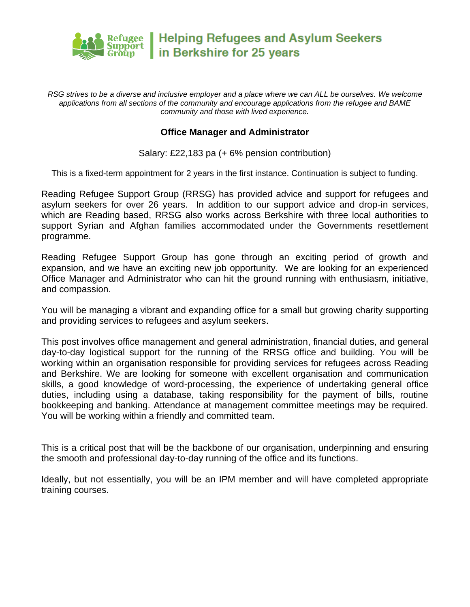

*RSG strives to be a diverse and inclusive employer and a place where we can ALL be ourselves. We welcome applications from all sections of the community and encourage applications from the refugee and BAME community and those with lived experience.*

#### **Office Manager and Administrator**

Salary: £22,183 pa (+ 6% pension contribution)

This is a fixed-term appointment for 2 years in the first instance. Continuation is subject to funding.

Reading Refugee Support Group (RRSG) has provided advice and support for refugees and asylum seekers for over 26 years. In addition to our support advice and drop-in services, which are Reading based, RRSG also works across Berkshire with three local authorities to support Syrian and Afghan families accommodated under the Governments resettlement programme.

Reading Refugee Support Group has gone through an exciting period of growth and expansion, and we have an exciting new job opportunity. We are looking for an experienced Office Manager and Administrator who can hit the ground running with enthusiasm, initiative, and compassion.

You will be managing a vibrant and expanding office for a small but growing charity supporting and providing services to refugees and asylum seekers.

This post involves office management and general administration, financial duties, and general day-to-day logistical support for the running of the RRSG office and building. You will be working within an organisation responsible for providing services for refugees across Reading and Berkshire. We are looking for someone with excellent organisation and communication skills, a good knowledge of word-processing, the experience of undertaking general office duties, including using a database, taking responsibility for the payment of bills, routine bookkeeping and banking. Attendance at management committee meetings may be required. You will be working within a friendly and committed team.

This is a critical post that will be the backbone of our organisation, underpinning and ensuring the smooth and professional day-to-day running of the office and its functions.

Ideally, but not essentially, you will be an IPM member and will have completed appropriate training courses.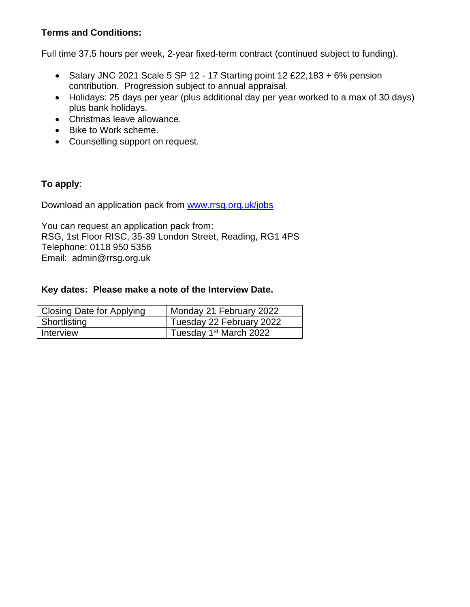### **Terms and Conditions:**

Full time 37.5 hours per week, 2-year fixed-term contract (continued subject to funding).

- Salary JNC 2021 Scale 5 SP 12 17 Starting point 12 £22,183 + 6% pension contribution. Progression subject to annual appraisal.
- Holidays: 25 days per year (plus additional day per year worked to a max of 30 days) plus bank holidays.
- Christmas leave allowance.
- Bike to Work scheme.
- Counselling support on request.

## **To apply**:

Download an application pack from [www.rrsg.org.uk/jobs](http://www.rrsg.org.uk/jobs)

You can request an application pack from: RSG, 1st Floor RISC, 35-39 London Street, Reading, RG1 4PS Telephone: 0118 950 5356 Email: admin@rrsg.org.uk

### **Key dates: Please make a note of the Interview Date.**

| <b>Closing Date for Applying</b> | Monday 21 February 2022            |
|----------------------------------|------------------------------------|
| Shortlisting                     | Tuesday 22 February 2022           |
| Interview                        | Tuesday 1 <sup>st</sup> March 2022 |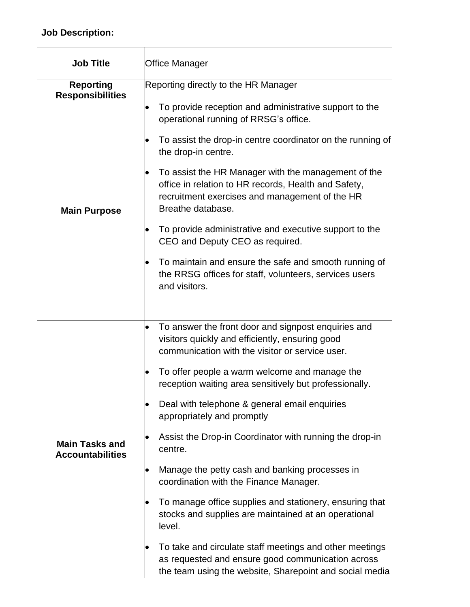# **Job Description:**

| <b>Job Title</b>                                 | <b>Office Manager</b>                                                                                                                                                                                                                                                                                                                                                                                                                                                                                                                                                                                                                                                                                                                                                                                                                                                |  |
|--------------------------------------------------|----------------------------------------------------------------------------------------------------------------------------------------------------------------------------------------------------------------------------------------------------------------------------------------------------------------------------------------------------------------------------------------------------------------------------------------------------------------------------------------------------------------------------------------------------------------------------------------------------------------------------------------------------------------------------------------------------------------------------------------------------------------------------------------------------------------------------------------------------------------------|--|
| <b>Reporting</b><br><b>Responsibilities</b>      | Reporting directly to the HR Manager                                                                                                                                                                                                                                                                                                                                                                                                                                                                                                                                                                                                                                                                                                                                                                                                                                 |  |
| <b>Main Purpose</b>                              | To provide reception and administrative support to the<br>$\bullet$<br>operational running of RRSG's office.<br>To assist the drop-in centre coordinator on the running of<br>the drop-in centre.<br>To assist the HR Manager with the management of the<br>office in relation to HR records, Health and Safety,<br>recruitment exercises and management of the HR<br>Breathe database.<br>To provide administrative and executive support to the<br>$\bullet$<br>CEO and Deputy CEO as required.<br>To maintain and ensure the safe and smooth running of<br>$\bullet$<br>the RRSG offices for staff, volunteers, services users<br>and visitors.                                                                                                                                                                                                                   |  |
| <b>Main Tasks and</b><br><b>Accountabilities</b> | To answer the front door and signpost enquiries and<br>$\bullet$<br>visitors quickly and efficiently, ensuring good<br>communication with the visitor or service user.<br>To offer people a warm welcome and manage the<br>reception waiting area sensitively but professionally.<br>Deal with telephone & general email enquiries<br>$\bullet$<br>appropriately and promptly<br>Assist the Drop-in Coordinator with running the drop-in<br>centre.<br>Manage the petty cash and banking processes in<br>coordination with the Finance Manager.<br>To manage office supplies and stationery, ensuring that<br>$\bullet$<br>stocks and supplies are maintained at an operational<br>level.<br>To take and circulate staff meetings and other meetings<br>as requested and ensure good communication across<br>the team using the website, Sharepoint and social media |  |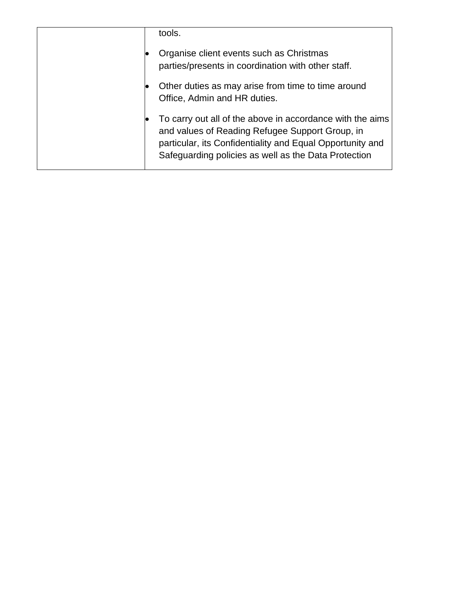| tools.                                                                                                                                                                                                                            |
|-----------------------------------------------------------------------------------------------------------------------------------------------------------------------------------------------------------------------------------|
| Organise client events such as Christmas<br>parties/presents in coordination with other staff.                                                                                                                                    |
| Other duties as may arise from time to time around<br>Office, Admin and HR duties.                                                                                                                                                |
| To carry out all of the above in accordance with the aims<br>and values of Reading Refugee Support Group, in<br>particular, its Confidentiality and Equal Opportunity and<br>Safeguarding policies as well as the Data Protection |